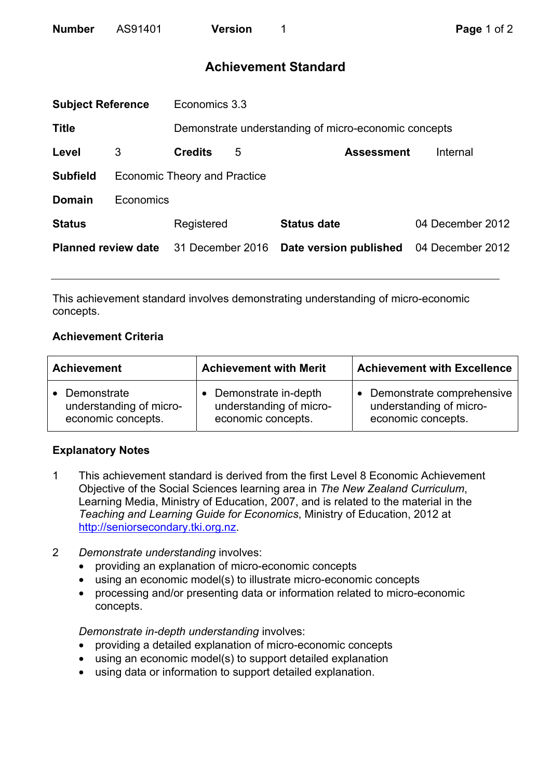# **Achievement Standard**

| <b>Subject Reference</b>   |                                     | Economics 3.3    |   |                                                      |                  |  |
|----------------------------|-------------------------------------|------------------|---|------------------------------------------------------|------------------|--|
| <b>Title</b>               |                                     |                  |   | Demonstrate understanding of micro-economic concepts |                  |  |
| Level                      | 3                                   | <b>Credits</b>   | 5 | <b>Assessment</b>                                    | Internal         |  |
| <b>Subfield</b>            | <b>Economic Theory and Practice</b> |                  |   |                                                      |                  |  |
| <b>Domain</b>              | Economics                           |                  |   |                                                      |                  |  |
| <b>Status</b>              |                                     | Registered       |   | <b>Status date</b>                                   | 04 December 2012 |  |
| <b>Planned review date</b> |                                     | 31 December 2016 |   | Date version published                               | 04 December 2012 |  |
|                            |                                     |                  |   |                                                      |                  |  |

This achievement standard involves demonstrating understanding of micro-economic concepts.

### **Achievement Criteria**

| <b>Achievement</b>      | <b>Achievement with Merit</b> | <b>Achievement with Excellence</b> |  |
|-------------------------|-------------------------------|------------------------------------|--|
| • Demonstrate           | • Demonstrate in-depth        | Demonstrate comprehensive          |  |
| understanding of micro- | understanding of micro-       | understanding of micro-            |  |
| economic concepts.      | economic concepts.            | economic concepts.                 |  |

## **Explanatory Notes**

- 1 This achievement standard is derived from the first Level 8 Economic Achievement Objective of the Social Sciences learning area in *The New Zealand Curriculum*, Learning Media, Ministry of Education, 2007, and is related to the material in the *Teaching and Learning Guide for Economics*, Ministry of Education, 2012 at http://seniorsecondary.tki.org.nz.
- 2 *Demonstrate understanding* involves:
	- providing an explanation of micro-economic concepts
	- using an economic model(s) to illustrate micro-economic concepts
	- processing and/or presenting data or information related to micro-economic concepts.

*Demonstrate in-depth understanding* involves:

- providing a detailed explanation of micro-economic concepts
- using an economic model(s) to support detailed explanation
- using data or information to support detailed explanation.